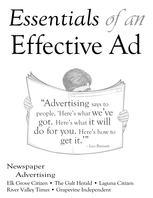## *Essentials* of an Effective Ad



Newspaper

Advertising

Elk Grove Citizen • The Galt Herald • Laguna Citizen River Valley Times • Grapevine Independent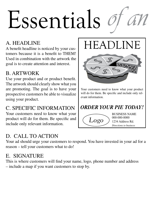# Essentials

### A. Headline

A benefit headline is noticed by your customers because it is a benefit to THEM! Used in combination with the artwork the goal is to create attention and interest.

### B. Artwork

Use your product and or product benefit. The artwork should clearly show what you are promoting. The goal is to have your prospective customers be able to visualize using your product.

### C. Specific Information

Your customers need to know what your product will do for them. Be specific and include only relevant information.

### D. Call to action

Your ad should urge your customers to respond. You have invested in your ad for a reason – tell your customers what to do!

### E. Signature

This is where customers will find your name, logo, phone number and address – include a map if you want customers to stop by.

HEADLINE



Your customers need to know what your product will do for them. Be specific and include only relevant information.

*ORDER YOUR PIE TODAY!*

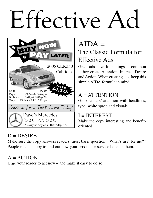### Effective Ad



### $D =$ DESIRE

 $AIDA =$ The Classic Formula for Effective Ads

Great ads have four things in common – they create Attention, Interest, Desire and Action. When creating ads, keep this simple AIDA formula in mind:

### $A = ATTENTION$

Grab readers' attention with headlines, type, white space and visuals.

#### $I = INTEREST$

Make the copy interesting and benefitoriented.

Make sure the copy answers readers' most basic question, "What's in it for me?" People read ad copy to find out how your product or service benefits them.

### $A = ACTION$

Urge your reader to act now – and make it easy to do so.